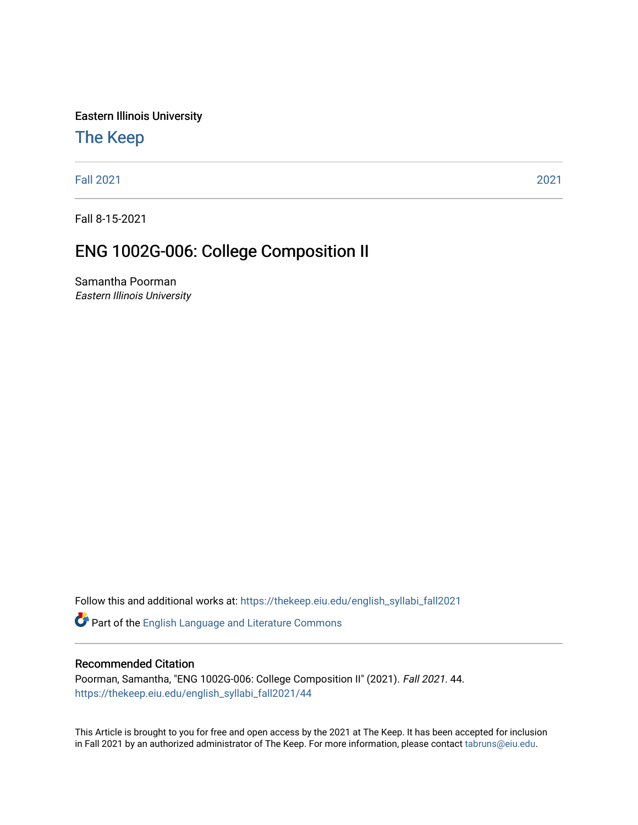Eastern Illinois University

# [The Keep](https://thekeep.eiu.edu/)

[Fall 2021](https://thekeep.eiu.edu/english_syllabi_fall2021) [2021](https://thekeep.eiu.edu/english_syllabi2021) 

Fall 8-15-2021

# ENG 1002G-006: College Composition II

Samantha Poorman Eastern Illinois University

Follow this and additional works at: [https://thekeep.eiu.edu/english\\_syllabi\\_fall2021](https://thekeep.eiu.edu/english_syllabi_fall2021?utm_source=thekeep.eiu.edu%2Fenglish_syllabi_fall2021%2F44&utm_medium=PDF&utm_campaign=PDFCoverPages) 

Part of the [English Language and Literature Commons](http://network.bepress.com/hgg/discipline/455?utm_source=thekeep.eiu.edu%2Fenglish_syllabi_fall2021%2F44&utm_medium=PDF&utm_campaign=PDFCoverPages)

#### Recommended Citation

Poorman, Samantha, "ENG 1002G-006: College Composition II" (2021). Fall 2021. 44. [https://thekeep.eiu.edu/english\\_syllabi\\_fall2021/44](https://thekeep.eiu.edu/english_syllabi_fall2021/44?utm_source=thekeep.eiu.edu%2Fenglish_syllabi_fall2021%2F44&utm_medium=PDF&utm_campaign=PDFCoverPages)

This Article is brought to you for free and open access by the 2021 at The Keep. It has been accepted for inclusion in Fall 2021 by an authorized administrator of The Keep. For more information, please contact [tabruns@eiu.edu](mailto:tabruns@eiu.edu).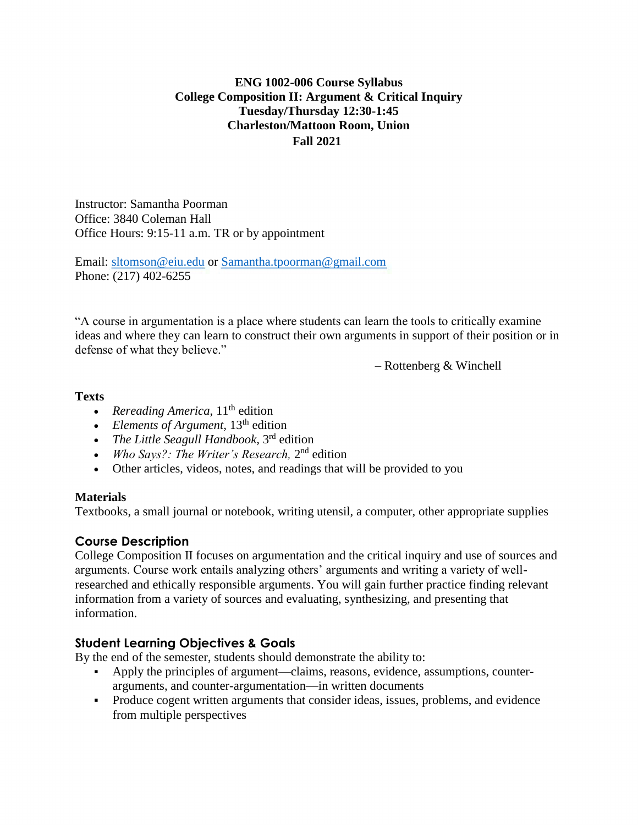### **ENG 1002-006 Course Syllabus College Composition II: Argument & Critical Inquiry Tuesday/Thursday 12:30-1:45 Charleston/Mattoon Room, Union Fall 2021**

Instructor: Samantha Poorman Office: 3840 Coleman Hall Office Hours: 9:15-11 a.m. TR or by appointment

Email: [sltomson@eiu.edu](mailto:sltomson@eiu.edu) or [Samantha.tpoorman@gmail.com](mailto:Samantha.tpoorman@gmail.com) Phone: (217) 402-6255

"A course in argumentation is a place where students can learn the tools to critically examine ideas and where they can learn to construct their own arguments in support of their position or in defense of what they believe."

– Rottenberg & Winchell

#### **Texts**

- *Rereading America*,  $11<sup>th</sup>$  edition
- *Elements of Argument*, 13<sup>th</sup> edition
- The Little Seagull Handbook, 3<sup>rd</sup> edition
- *Who Says?: The Writer's Research,* 2<sup>nd</sup> edition
- Other articles, videos, notes, and readings that will be provided to you

### **Materials**

Textbooks, a small journal or notebook, writing utensil, a computer, other appropriate supplies

# **Course Description**

College Composition II focuses on argumentation and the critical inquiry and use of sources and arguments. Course work entails analyzing others' arguments and writing a variety of wellresearched and ethically responsible arguments. You will gain further practice finding relevant information from a variety of sources and evaluating, synthesizing, and presenting that information.

# **Student Learning Objectives & Goals**

By the end of the semester, students should demonstrate the ability to:

- Apply the principles of argument—claims, reasons, evidence, assumptions, counterarguments, and counter-argumentation—in written documents
- Produce cogent written arguments that consider ideas, issues, problems, and evidence from multiple perspectives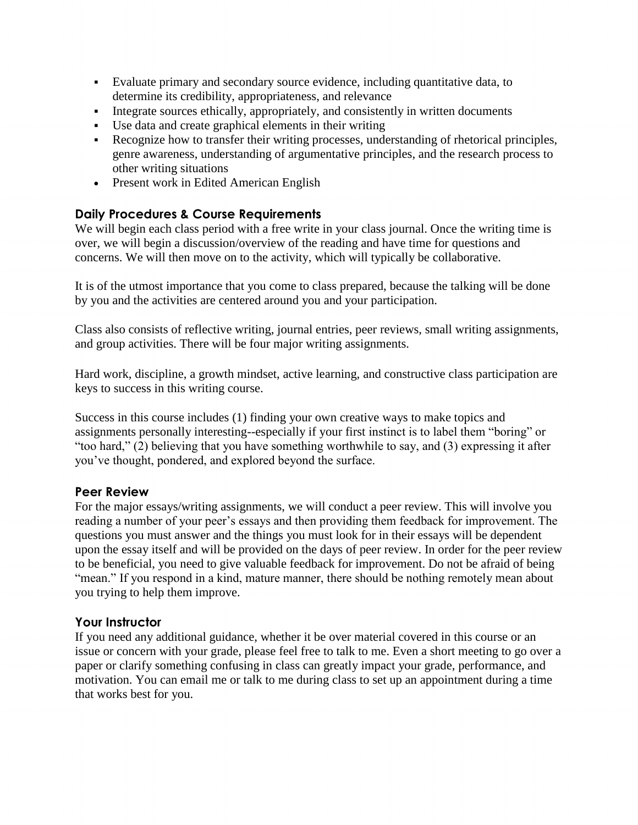- Evaluate primary and secondary source evidence, including quantitative data, to determine its credibility, appropriateness, and relevance
- Integrate sources ethically, appropriately, and consistently in written documents
- Use data and create graphical elements in their writing
- Recognize how to transfer their writing processes, understanding of rhetorical principles, genre awareness, understanding of argumentative principles, and the research process to other writing situations
- Present work in Edited American English

# **Daily Procedures & Course Requirements**

We will begin each class period with a free write in your class journal. Once the writing time is over, we will begin a discussion/overview of the reading and have time for questions and concerns. We will then move on to the activity, which will typically be collaborative.

It is of the utmost importance that you come to class prepared, because the talking will be done by you and the activities are centered around you and your participation.

Class also consists of reflective writing, journal entries, peer reviews, small writing assignments, and group activities. There will be four major writing assignments.

Hard work, discipline, a growth mindset, active learning, and constructive class participation are keys to success in this writing course.

Success in this course includes (1) finding your own creative ways to make topics and assignments personally interesting--especially if your first instinct is to label them "boring" or "too hard," (2) believing that you have something worthwhile to say, and (3) expressing it after you've thought, pondered, and explored beyond the surface.

### **Peer Review**

For the major essays/writing assignments, we will conduct a peer review. This will involve you reading a number of your peer's essays and then providing them feedback for improvement. The questions you must answer and the things you must look for in their essays will be dependent upon the essay itself and will be provided on the days of peer review. In order for the peer review to be beneficial, you need to give valuable feedback for improvement. Do not be afraid of being "mean." If you respond in a kind, mature manner, there should be nothing remotely mean about you trying to help them improve.

### **Your Instructor**

If you need any additional guidance, whether it be over material covered in this course or an issue or concern with your grade, please feel free to talk to me. Even a short meeting to go over a paper or clarify something confusing in class can greatly impact your grade, performance, and motivation. You can email me or talk to me during class to set up an appointment during a time that works best for you.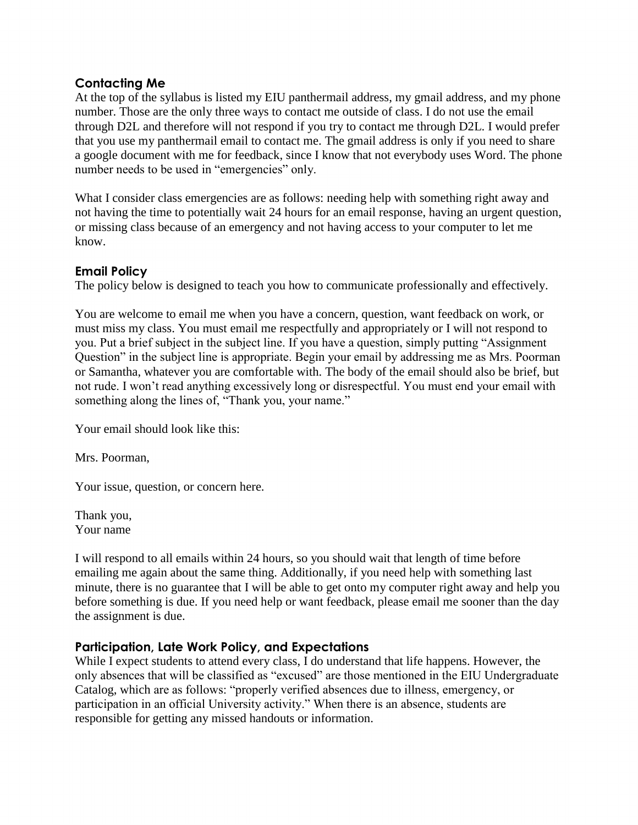# **Contacting Me**

At the top of the syllabus is listed my EIU panthermail address, my gmail address, and my phone number. Those are the only three ways to contact me outside of class. I do not use the email through D2L and therefore will not respond if you try to contact me through D2L. I would prefer that you use my panthermail email to contact me. The gmail address is only if you need to share a google document with me for feedback, since I know that not everybody uses Word. The phone number needs to be used in "emergencies" only.

What I consider class emergencies are as follows: needing help with something right away and not having the time to potentially wait 24 hours for an email response, having an urgent question, or missing class because of an emergency and not having access to your computer to let me know.

# **Email Policy**

The policy below is designed to teach you how to communicate professionally and effectively.

You are welcome to email me when you have a concern, question, want feedback on work, or must miss my class. You must email me respectfully and appropriately or I will not respond to you. Put a brief subject in the subject line. If you have a question, simply putting "Assignment Question" in the subject line is appropriate. Begin your email by addressing me as Mrs. Poorman or Samantha, whatever you are comfortable with. The body of the email should also be brief, but not rude. I won't read anything excessively long or disrespectful. You must end your email with something along the lines of, "Thank you, your name."

Your email should look like this:

Mrs. Poorman,

Your issue, question, or concern here.

Thank you, Your name

I will respond to all emails within 24 hours, so you should wait that length of time before emailing me again about the same thing. Additionally, if you need help with something last minute, there is no guarantee that I will be able to get onto my computer right away and help you before something is due. If you need help or want feedback, please email me sooner than the day the assignment is due.

# **Participation, Late Work Policy, and Expectations**

While I expect students to attend every class, I do understand that life happens. However, the only absences that will be classified as "excused" are those mentioned in the EIU Undergraduate Catalog, which are as follows: "properly verified absences due to illness, emergency, or participation in an official University activity." When there is an absence, students are responsible for getting any missed handouts or information.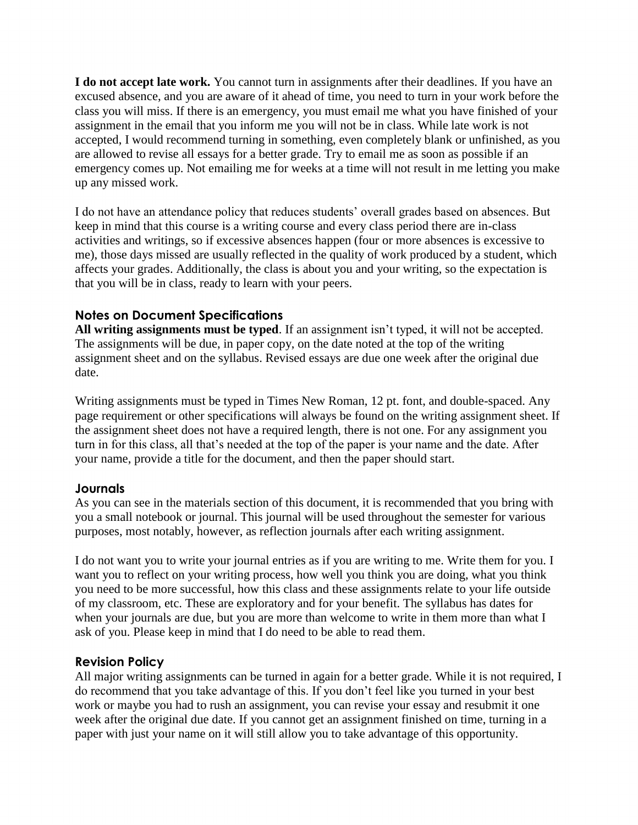**I do not accept late work.** You cannot turn in assignments after their deadlines. If you have an excused absence, and you are aware of it ahead of time, you need to turn in your work before the class you will miss. If there is an emergency, you must email me what you have finished of your assignment in the email that you inform me you will not be in class. While late work is not accepted, I would recommend turning in something, even completely blank or unfinished, as you are allowed to revise all essays for a better grade. Try to email me as soon as possible if an emergency comes up. Not emailing me for weeks at a time will not result in me letting you make up any missed work.

I do not have an attendance policy that reduces students' overall grades based on absences. But keep in mind that this course is a writing course and every class period there are in-class activities and writings, so if excessive absences happen (four or more absences is excessive to me), those days missed are usually reflected in the quality of work produced by a student, which affects your grades. Additionally, the class is about you and your writing, so the expectation is that you will be in class, ready to learn with your peers.

### **Notes on Document Specifications**

**All writing assignments must be typed**. If an assignment isn't typed, it will not be accepted. The assignments will be due, in paper copy, on the date noted at the top of the writing assignment sheet and on the syllabus. Revised essays are due one week after the original due date.

Writing assignments must be typed in Times New Roman, 12 pt. font, and double-spaced. Any page requirement or other specifications will always be found on the writing assignment sheet. If the assignment sheet does not have a required length, there is not one. For any assignment you turn in for this class, all that's needed at the top of the paper is your name and the date. After your name, provide a title for the document, and then the paper should start.

### **Journals**

As you can see in the materials section of this document, it is recommended that you bring with you a small notebook or journal. This journal will be used throughout the semester for various purposes, most notably, however, as reflection journals after each writing assignment.

I do not want you to write your journal entries as if you are writing to me. Write them for you. I want you to reflect on your writing process, how well you think you are doing, what you think you need to be more successful, how this class and these assignments relate to your life outside of my classroom, etc. These are exploratory and for your benefit. The syllabus has dates for when your journals are due, but you are more than welcome to write in them more than what I ask of you. Please keep in mind that I do need to be able to read them.

### **Revision Policy**

All major writing assignments can be turned in again for a better grade. While it is not required, I do recommend that you take advantage of this. If you don't feel like you turned in your best work or maybe you had to rush an assignment, you can revise your essay and resubmit it one week after the original due date. If you cannot get an assignment finished on time, turning in a paper with just your name on it will still allow you to take advantage of this opportunity.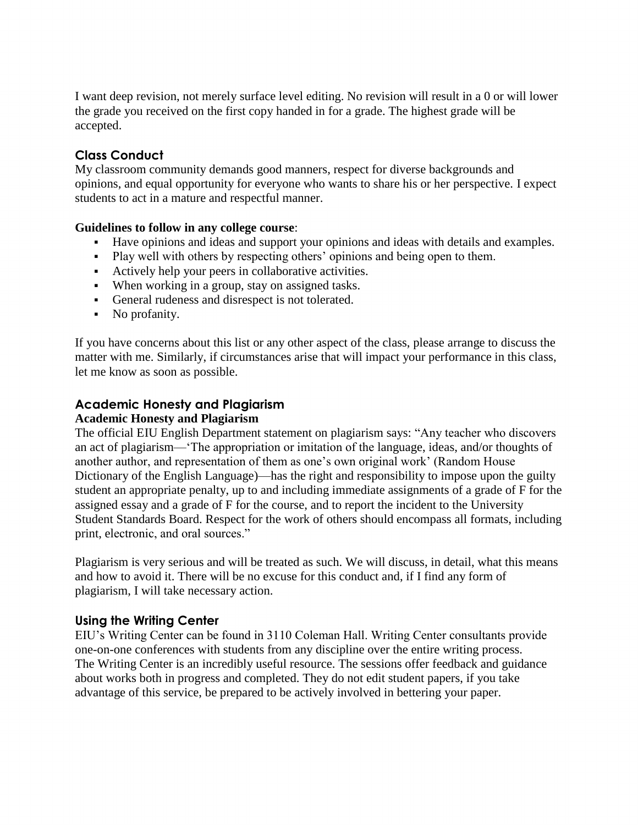I want deep revision, not merely surface level editing. No revision will result in a 0 or will lower the grade you received on the first copy handed in for a grade. The highest grade will be accepted.

## **Class Conduct**

My classroom community demands good manners, respect for diverse backgrounds and opinions, and equal opportunity for everyone who wants to share his or her perspective. I expect students to act in a mature and respectful manner.

#### **Guidelines to follow in any college course**:

- Have opinions and ideas and support your opinions and ideas with details and examples.
- Play well with others by respecting others' opinions and being open to them.
- Actively help your peers in collaborative activities.
- When working in a group, stay on assigned tasks.
- General rudeness and disrespect is not tolerated.
- No profanity.

If you have concerns about this list or any other aspect of the class, please arrange to discuss the matter with me. Similarly, if circumstances arise that will impact your performance in this class, let me know as soon as possible.

#### **Academic Honesty and Plagiarism Academic Honesty and Plagiarism**

#### The official EIU English Department statement on plagiarism says: "Any teacher who discovers an act of plagiarism—'The appropriation or imitation of the language, ideas, and/or thoughts of another author, and representation of them as one's own original work' (Random House Dictionary of the English Language)—has the right and responsibility to impose upon the guilty student an appropriate penalty, up to and including immediate assignments of a grade of F for the assigned essay and a grade of F for the course, and to report the incident to the University Student Standards Board. Respect for the work of others should encompass all formats, including print, electronic, and oral sources."

Plagiarism is very serious and will be treated as such. We will discuss, in detail, what this means and how to avoid it. There will be no excuse for this conduct and, if I find any form of plagiarism, I will take necessary action.

### **Using the Writing Center**

EIU's Writing Center can be found in 3110 Coleman Hall. Writing Center consultants provide one-on-one conferences with students from any discipline over the entire writing process. The Writing Center is an incredibly useful resource. The sessions offer feedback and guidance about works both in progress and completed. They do not edit student papers, if you take advantage of this service, be prepared to be actively involved in bettering your paper.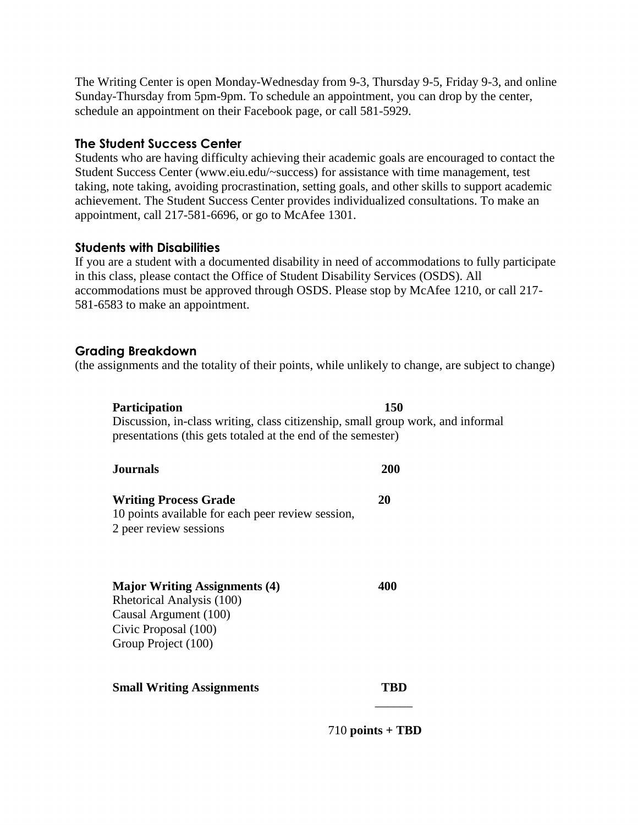The Writing Center is open Monday-Wednesday from 9-3, Thursday 9-5, Friday 9-3, and online Sunday-Thursday from 5pm-9pm. To schedule an appointment, you can drop by the center, schedule an appointment on their Facebook page, or call 581-5929.

## **The Student Success Center**

Students who are having difficulty achieving their academic goals are encouraged to contact the Student Success Center (www.eiu.edu/~success) for assistance with time management, test taking, note taking, avoiding procrastination, setting goals, and other skills to support academic achievement. The Student Success Center provides individualized consultations. To make an appointment, call 217-581-6696, or go to McAfee 1301.

# **Students with Disabilities**

If you are a student with a documented disability in need of accommodations to fully participate in this class, please contact the Office of Student Disability Services (OSDS). All accommodations must be approved through OSDS. Please stop by McAfee 1210, or call 217- 581-6583 to make an appointment.

# **Grading Breakdown**

(the assignments and the totality of their points, while unlikely to change, are subject to change)

| <b>Participation</b><br>Discussion, in-class writing, class citizenship, small group work, and informal<br>presentations (this gets totaled at the end of the semester) | 150        |
|-------------------------------------------------------------------------------------------------------------------------------------------------------------------------|------------|
| <b>Journals</b>                                                                                                                                                         | 200        |
| <b>Writing Process Grade</b><br>10 points available for each peer review session,<br>2 peer review sessions                                                             | <b>20</b>  |
| <b>Major Writing Assignments (4)</b><br>Rhetorical Analysis (100)<br>Causal Argument (100)<br>Civic Proposal (100)<br>Group Project (100)                               | 400        |
| <b>Small Writing Assignments</b>                                                                                                                                        | <b>TBD</b> |

710 **points + TBD**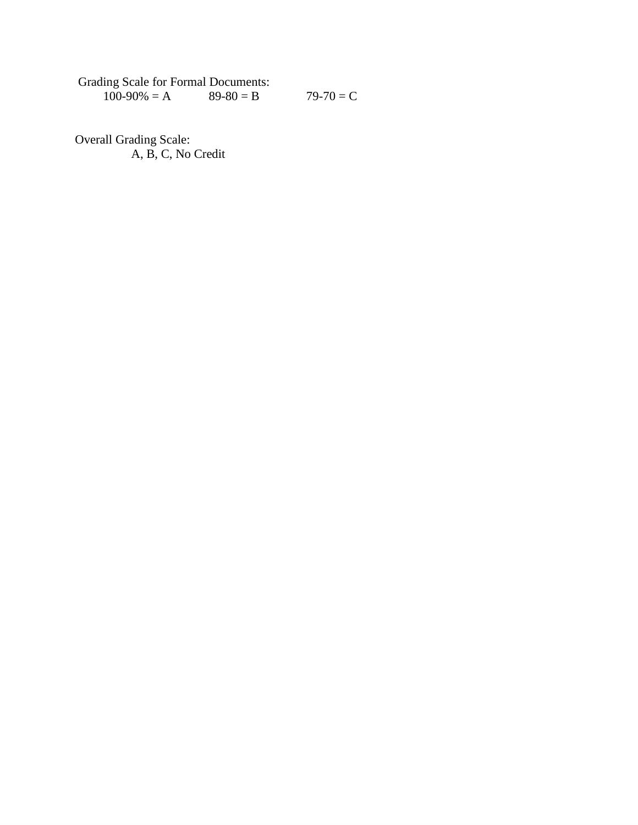Grading Scale for Formal Documents:  $100-90\% = A$  89-80 = B 79-70 = C

Overall Grading Scale: A, B, C, No Credit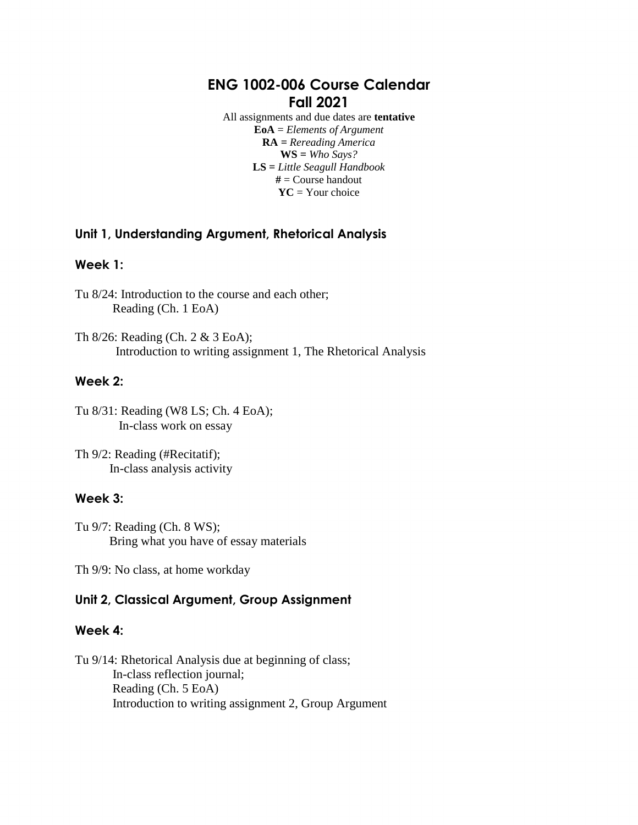# **ENG 1002-006 Course Calendar Fall 2021**

All assignments and due dates are **tentative EoA** = *Elements of Argument*  **RA =** *Rereading America*  **WS =** *Who Says?*  **LS =** *Little Seagull Handbook* **#** = Course handout **YC** = Your choice

# **Unit 1, Understanding Argument, Rhetorical Analysis**

#### **Week 1:**

- Tu 8/24: Introduction to the course and each other; Reading (Ch. 1 EoA)
- Th 8/26: Reading (Ch. 2 & 3 EoA); Introduction to writing assignment 1, The Rhetorical Analysis

#### **Week 2:**

Tu 8/31: Reading (W8 LS; Ch. 4 EoA); In-class work on essay

Th 9/2: Reading (#Recitatif); In-class analysis activity

#### **Week 3:**

Tu 9/7: Reading (Ch. 8 WS); Bring what you have of essay materials

Th 9/9: No class, at home workday

### **Unit 2, Classical Argument, Group Assignment**

#### **Week 4:**

Tu 9/14: Rhetorical Analysis due at beginning of class; In-class reflection journal; Reading (Ch. 5 EoA) Introduction to writing assignment 2, Group Argument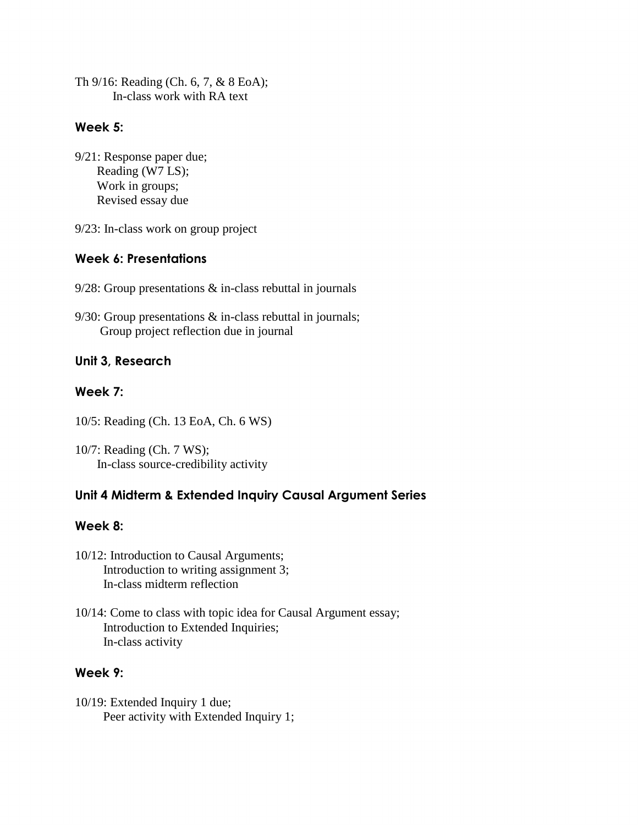Th 9/16: Reading (Ch. 6, 7, & 8 EoA); In-class work with RA text

### **Week 5:**

- 9/21: Response paper due; Reading (W7 LS); Work in groups; Revised essay due
- 9/23: In-class work on group project

### **Week 6: Presentations**

- 9/28: Group presentations & in-class rebuttal in journals
- 9/30: Group presentations  $\&$  in-class rebuttal in journals; Group project reflection due in journal

### **Unit 3, Research**

#### **Week 7:**

- 10/5: Reading (Ch. 13 EoA, Ch. 6 WS)
- 10/7: Reading (Ch. 7 WS); In-class source-credibility activity

### **Unit 4 Midterm & Extended Inquiry Causal Argument Series**

#### **Week 8:**

- 10/12: Introduction to Causal Arguments; Introduction to writing assignment 3; In-class midterm reflection
- 10/14: Come to class with topic idea for Causal Argument essay; Introduction to Extended Inquiries; In-class activity

#### **Week 9:**

10/19: Extended Inquiry 1 due; Peer activity with Extended Inquiry 1;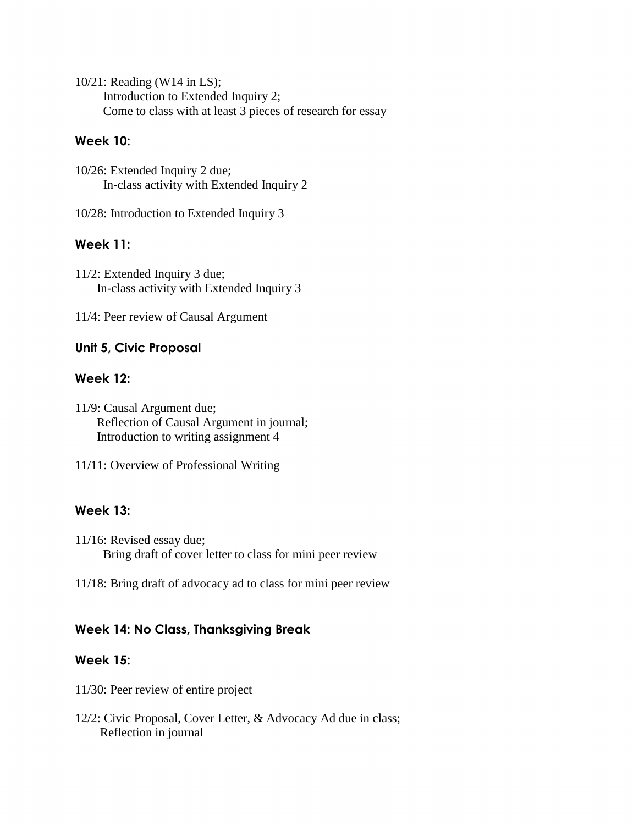10/21: Reading (W14 in LS); Introduction to Extended Inquiry 2; Come to class with at least 3 pieces of research for essay

# **Week 10:**

10/26: Extended Inquiry 2 due; In-class activity with Extended Inquiry 2

10/28: Introduction to Extended Inquiry 3

# **Week 11:**

11/2: Extended Inquiry 3 due; In-class activity with Extended Inquiry 3

11/4: Peer review of Causal Argument

# **Unit 5, Civic Proposal**

# **Week 12:**

- 11/9: Causal Argument due; Reflection of Causal Argument in journal; Introduction to writing assignment 4
- 11/11: Overview of Professional Writing

# **Week 13:**

- 11/16: Revised essay due; Bring draft of cover letter to class for mini peer review
- 11/18: Bring draft of advocacy ad to class for mini peer review

# **Week 14: No Class, Thanksgiving Break**

### **Week 15:**

11/30: Peer review of entire project

12/2: Civic Proposal, Cover Letter, & Advocacy Ad due in class; Reflection in journal